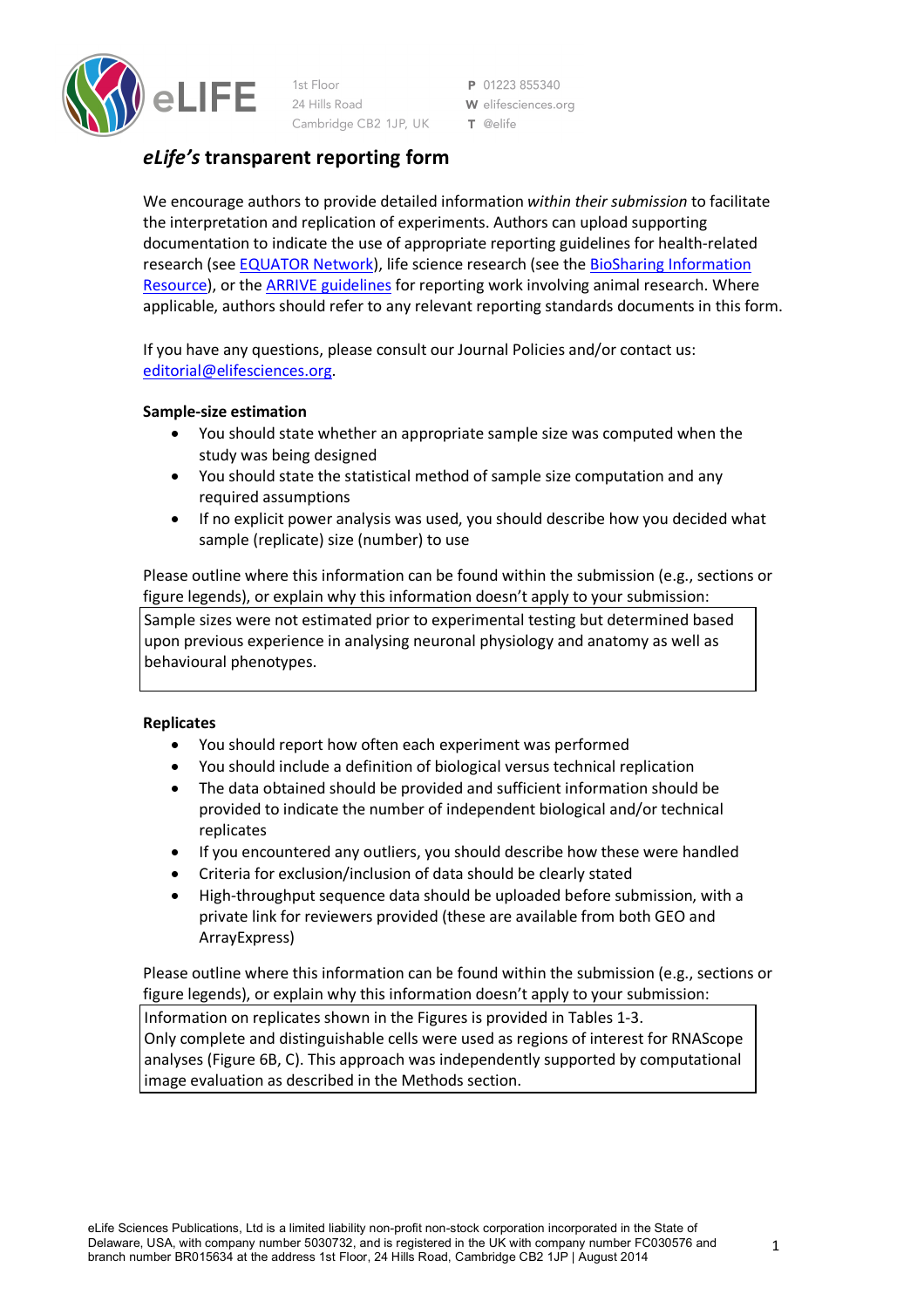

1st Floor 24 Hills Road Cambridge CB2 1JP, UK

P 01223855340 W elifesciences.org T @elife

# *eLife's* **transparent reporting form**

We encourage authors to provide detailed information *within their submission* to facilitate the interpretation and replication of experiments. Authors can upload supporting documentation to indicate the use of appropriate reporting guidelines for health-related research (see EQUATOR Network), life science research (see the BioSharing Information Resource), or the ARRIVE guidelines for reporting work involving animal research. Where applicable, authors should refer to any relevant reporting standards documents in this form.

If you have any questions, please consult our Journal Policies and/or contact us: editorial@elifesciences.org.

### **Sample-size estimation**

- You should state whether an appropriate sample size was computed when the study was being designed
- You should state the statistical method of sample size computation and any required assumptions
- If no explicit power analysis was used, you should describe how you decided what sample (replicate) size (number) to use

Please outline where this information can be found within the submission (e.g., sections or figure legends), or explain why this information doesn't apply to your submission: Sample sizes were not estimated prior to experimental testing but determined based upon previous experience in analysing neuronal physiology and anatomy as well as behavioural phenotypes.

### **Replicates**

- You should report how often each experiment was performed
- You should include a definition of biological versus technical replication
- The data obtained should be provided and sufficient information should be provided to indicate the number of independent biological and/or technical replicates
- If you encountered any outliers, you should describe how these were handled
- Criteria for exclusion/inclusion of data should be clearly stated
- High-throughput sequence data should be uploaded before submission, with a private link for reviewers provided (these are available from both GEO and ArrayExpress)

Please outline where this information can be found within the submission (e.g., sections or figure legends), or explain why this information doesn't apply to your submission:

Information on replicates shown in the Figures is provided in Tables 1-3. Only complete and distinguishable cells were used as regions of interest for RNAScope analyses (Figure 6B, C). This approach was independently supported by computational image evaluation as described in the Methods section.